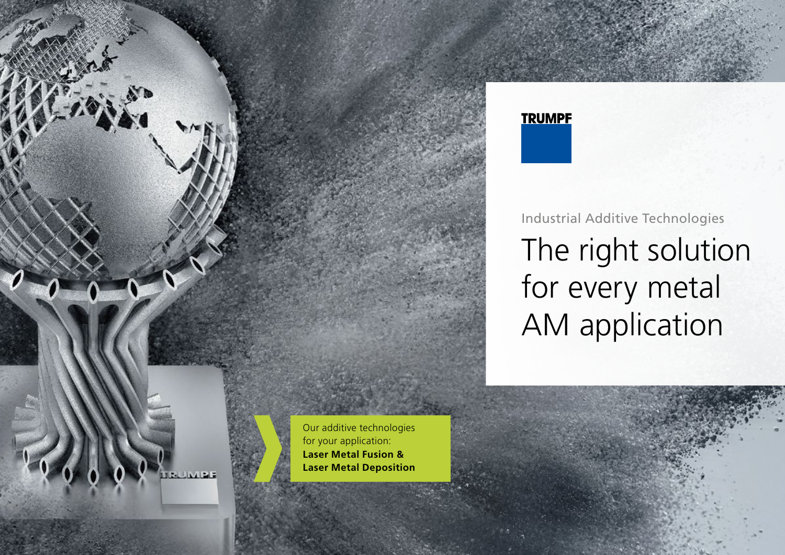



# Industrial Additive Technologies The right solution for every metal AM application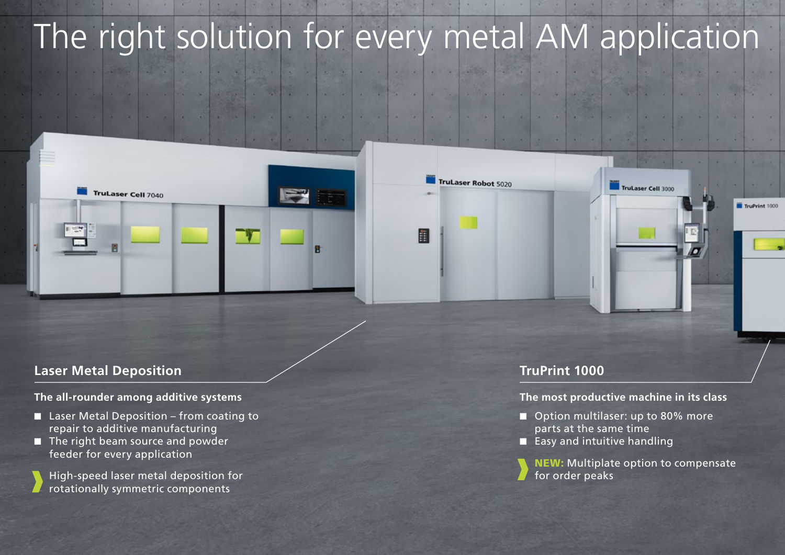# The right solution for every metal AM application

2020 2020

目

**STAGE** 

TruLaser Robot 5020



## **Laser Metal Deposition**

#### **The all-rounder among additive systems**

- $\blacksquare$  Laser Metal Deposition from coating to repair to additive manufacturing
- $\blacksquare$  The right beam source and powder feeder for every application
	- High-speed laser metal deposition for rotationally symmetric components

#### **TruPrint 1000**

#### **The most productive machine in its class**

TruLaser Cell 3000

TruPrint 1000

- Option multilaser: up to 80% more parts at the same time
- $\blacksquare$  Easy and intuitive handling

NEW: Multiplate option to compensate for order peaks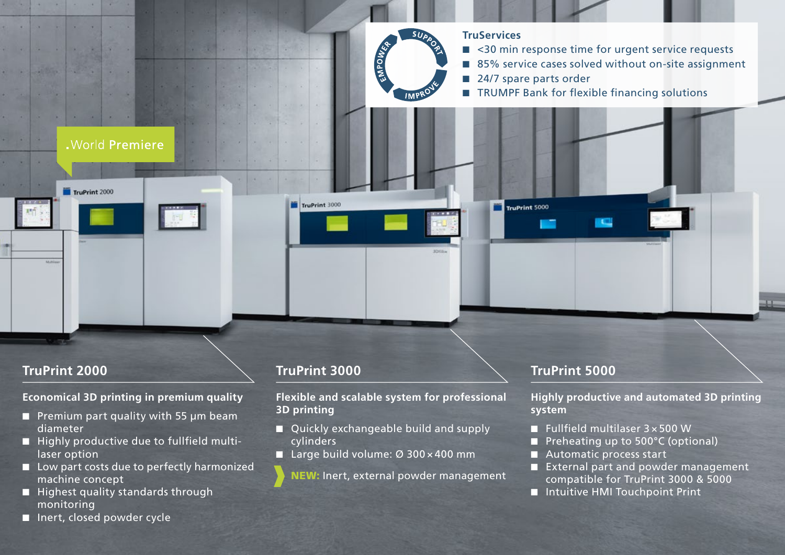

- Premium part quality with 55  $\mu$ m beam diameter
- Highly productive due to fullfield multilaser option
- $\Box$  Low part costs due to perfectly harmonized machine concept
- $\blacksquare$  Highest quality standards through monitoring
- $\blacksquare$  Inert, closed powder cycle
- Quickly exchangeable build and supply cylinders
- Large build volume: Ø 300 × 400 mm
	- NEW: Inert, external powder management
- Fullfield multilaser  $3 \times 500$  W
- Preheating up to  $500^{\circ}$ C (optional)
- Automatic process start
- External part and powder management compatible for TruPrint 3000 & 5000
- Intuitive HMI Touchpoint Print